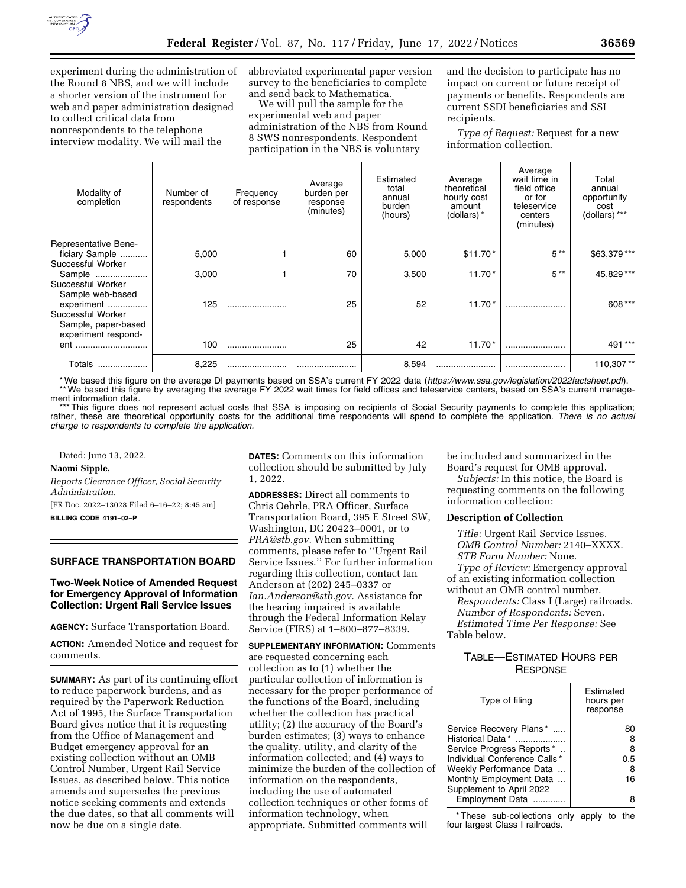

experiment during the administration of the Round 8 NBS, and we will include a shorter version of the instrument for web and paper administration designed to collect critical data from nonrespondents to the telephone interview modality. We will mail the

abbreviated experimental paper version survey to the beneficiaries to complete and send back to Mathematica.

We will pull the sample for the experimental web and paper administration of the NBS from Round 8 SWS nonrespondents. Respondent participation in the NBS is voluntary

and the decision to participate has no impact on current or future receipt of payments or benefits. Respondents are current SSDI beneficiaries and SSI recipients.

*Type of Request:* Request for a new information collection.

| Modality of<br>completion                           | Number of<br>respondents | Frequency<br>of response | Average<br>burden per<br>response<br>(minutes) | Estimated<br>total<br>annual<br>burden<br>(hours) | Average<br>theoretical<br>hourly cost<br>amount<br>(dollars) * | Average<br>wait time in<br>field office<br>or for<br>teleservice<br>centers<br>(minutes) | Total<br>annual<br>opportunity<br>cost<br>(dollars) *** |
|-----------------------------------------------------|--------------------------|--------------------------|------------------------------------------------|---------------------------------------------------|----------------------------------------------------------------|------------------------------------------------------------------------------------------|---------------------------------------------------------|
| <b>Representative Bene-</b><br>ficiary Sample       | 5,000                    |                          | 60                                             | 5,000                                             | $$11.70*$                                                      | $5***$                                                                                   | \$63,379***                                             |
| Successful Worker                                   |                          |                          |                                                |                                                   |                                                                | $5***$                                                                                   |                                                         |
| Sample<br>Successful Worker                         | 3,000                    |                          | 70                                             | 3,500                                             | $11.70*$                                                       |                                                                                          | 45,829 ***                                              |
| Sample web-based<br>experiment<br>Successful Worker | 125                      |                          | 25                                             | 52                                                | $11.70*$                                                       |                                                                                          | 608 ***                                                 |
| Sample, paper-based<br>experiment respond-          |                          |                          |                                                |                                                   |                                                                |                                                                                          |                                                         |
| ent                                                 | 100                      |                          | 25                                             | 42                                                | $11.70*$                                                       |                                                                                          | 491***                                                  |
| Totals                                              | 8,225                    |                          |                                                | 8,594                                             | .                                                              |                                                                                          | 110,307**                                               |

\* We based this figure on the average DI payments based on SSA's current FY 2022 data (*<https://www.ssa.gov/legislation/2022factsheet.pdf>*). \*\* We based this figure by averaging the average FY 2022 wait times for field offices and teleservice centers, based on SSA's current management information data.

This figure does not represent actual costs that SSA is imposing on recipients of Social Security payments to complete this application; rather, these are theoretical opportunity costs for the additional time respondents will spend to complete the application. There is no actual *charge to respondents to complete the application.* 

Dated: June 13, 2022.

### **Naomi Sipple,**

*Reports Clearance Officer, Social Security Administration.* 

[FR Doc. 2022–13028 Filed 6–16–22; 8:45 am]

**BILLING CODE 4191–02–P** 

### **SURFACE TRANSPORTATION BOARD**

# **Two-Week Notice of Amended Request for Emergency Approval of Information Collection: Urgent Rail Service Issues**

**AGENCY:** Surface Transportation Board.

**ACTION:** Amended Notice and request for comments.

**SUMMARY:** As part of its continuing effort to reduce paperwork burdens, and as required by the Paperwork Reduction Act of 1995, the Surface Transportation Board gives notice that it is requesting from the Office of Management and Budget emergency approval for an existing collection without an OMB Control Number, Urgent Rail Service Issues, as described below. This notice amends and supersedes the previous notice seeking comments and extends the due dates, so that all comments will now be due on a single date.

**DATES:** Comments on this information collection should be submitted by July 1, 2022.

**ADDRESSES:** Direct all comments to Chris Oehrle, PRA Officer, Surface Transportation Board, 395 E Street SW, Washington, DC 20423–0001, or to *[PRA@stb.gov.](mailto:PRA@stb.gov)* When submitting comments, please refer to ''Urgent Rail Service Issues.'' For further information regarding this collection, contact Ian Anderson at (202) 245–0337 or *[Ian.Anderson@stb.gov.](mailto:Ian.Anderson@stb.gov)* Assistance for the hearing impaired is available through the Federal Information Relay Service (FIRS) at 1–800–877–8339.

**SUPPLEMENTARY INFORMATION:** Comments are requested concerning each collection as to (1) whether the particular collection of information is necessary for the proper performance of the functions of the Board, including whether the collection has practical utility; (2) the accuracy of the Board's burden estimates; (3) ways to enhance the quality, utility, and clarity of the information collected; and (4) ways to minimize the burden of the collection of information on the respondents, including the use of automated collection techniques or other forms of information technology, when appropriate. Submitted comments will

be included and summarized in the Board's request for OMB approval.

*Subjects:* In this notice, the Board is requesting comments on the following information collection:

# **Description of Collection**

*Title:* Urgent Rail Service Issues. *OMB Control Number:* 2140–XXXX. *STB Form Number:* None. *Type of Review:* Emergency approval of an existing information collection without an OMB control number. *Respondents:* Class I (Large) railroads.

*Number of Respondents:* Seven. *Estimated Time Per Response:* See Table below.

# TABLE—ESTIMATED HOURS PER **RESPONSE**

| Type of filing                                                                                                                                                                             | Estimated<br>hours per<br>response |
|--------------------------------------------------------------------------------------------------------------------------------------------------------------------------------------------|------------------------------------|
| Service Recovery Plans*<br>Historical Data*<br>Service Progress Reports*<br>Individual Conference Calls*<br>Weekly Performance Data<br>Monthly Employment Data<br>Supplement to April 2022 | 80<br>8<br>8<br>0.5<br>16          |
| Employment Data                                                                                                                                                                            |                                    |

\* These sub-collections only apply to the four largest Class I railroads.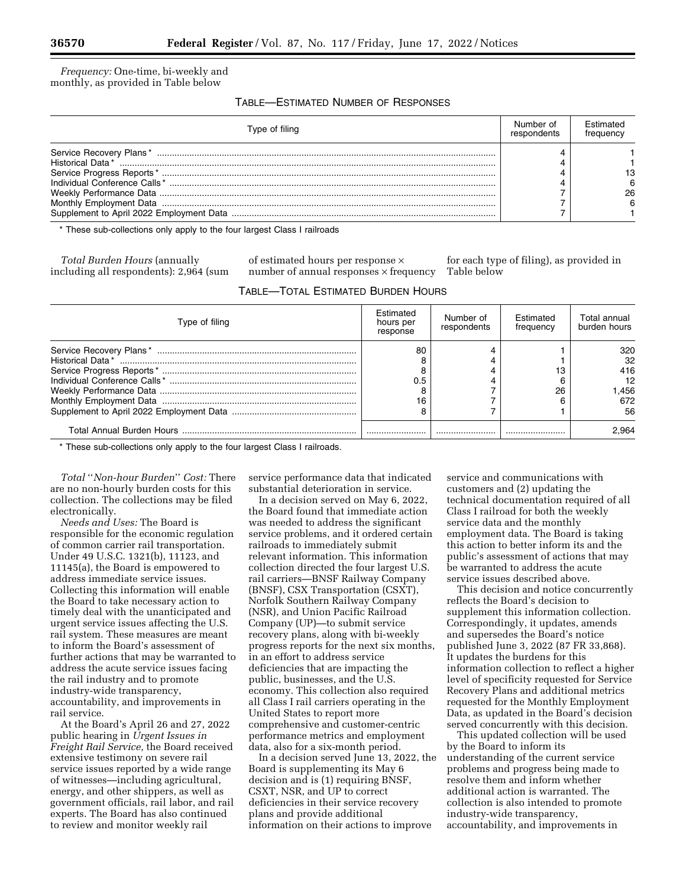*Frequency:* One-time, bi-weekly and monthly, as provided in Table below

TABLE—ESTIMATED NUMBER OF RESPONSES

| Type of filing |  | <b>Fstimated</b><br>frequency |
|----------------|--|-------------------------------|
|                |  |                               |
|                |  |                               |
|                |  |                               |
|                |  |                               |
|                |  |                               |
|                |  |                               |

\* These sub-collections only apply to the four largest Class I railroads

*Total Burden Hours* (annually including all respondents): 2,964 (sum of estimated hours per response × number of annual responses  $\times$  frequency

for each type of filing), as provided in Table below

TABLE—TOTAL ESTIMATED BURDEN HOURS

| Type of filing | Estimated<br>hours per<br>response | Number of<br>respondents | Estimated<br>frequency | Total annual<br>burden hours |
|----------------|------------------------------------|--------------------------|------------------------|------------------------------|
|                | 80                                 |                          |                        | 320                          |
|                |                                    |                          |                        | 32<br>416                    |
|                | 0.5                                |                          |                        | 12                           |
|                |                                    |                          | 26                     | .456                         |
|                | 16                                 |                          |                        | 672                          |
|                |                                    |                          |                        | 56                           |
|                |                                    |                          |                        | 2.964                        |

\* These sub-collections only apply to the four largest Class I railroads.

*Total* ''*Non-hour Burden*'' *Cost:* There are no non-hourly burden costs for this collection. The collections may be filed electronically.

*Needs and Uses:* The Board is responsible for the economic regulation of common carrier rail transportation. Under 49 U.S.C. 1321(b), 11123, and 11145(a), the Board is empowered to address immediate service issues. Collecting this information will enable the Board to take necessary action to timely deal with the unanticipated and urgent service issues affecting the U.S. rail system. These measures are meant to inform the Board's assessment of further actions that may be warranted to address the acute service issues facing the rail industry and to promote industry-wide transparency, accountability, and improvements in rail service.

At the Board's April 26 and 27, 2022 public hearing in *Urgent Issues in Freight Rail Service,* the Board received extensive testimony on severe rail service issues reported by a wide range of witnesses—including agricultural, energy, and other shippers, as well as government officials, rail labor, and rail experts. The Board has also continued to review and monitor weekly rail

service performance data that indicated substantial deterioration in service.

In a decision served on May 6, 2022, the Board found that immediate action was needed to address the significant service problems, and it ordered certain railroads to immediately submit relevant information. This information collection directed the four largest U.S. rail carriers—BNSF Railway Company (BNSF), CSX Transportation (CSXT), Norfolk Southern Railway Company (NSR), and Union Pacific Railroad Company (UP)—to submit service recovery plans, along with bi-weekly progress reports for the next six months, in an effort to address service deficiencies that are impacting the public, businesses, and the U.S. economy. This collection also required all Class I rail carriers operating in the United States to report more comprehensive and customer-centric performance metrics and employment data, also for a six-month period.

In a decision served June 13, 2022, the Board is supplementing its May 6 decision and is (1) requiring BNSF, CSXT, NSR, and UP to correct deficiencies in their service recovery plans and provide additional information on their actions to improve

service and communications with customers and (2) updating the technical documentation required of all Class I railroad for both the weekly service data and the monthly employment data. The Board is taking this action to better inform its and the public's assessment of actions that may be warranted to address the acute service issues described above.

This decision and notice concurrently reflects the Board's decision to supplement this information collection. Correspondingly, it updates, amends and supersedes the Board's notice published June 3, 2022 (87 FR 33,868). It updates the burdens for this information collection to reflect a higher level of specificity requested for Service Recovery Plans and additional metrics requested for the Monthly Employment Data, as updated in the Board's decision served concurrently with this decision.

This updated collection will be used by the Board to inform its understanding of the current service problems and progress being made to resolve them and inform whether additional action is warranted. The collection is also intended to promote industry-wide transparency, accountability, and improvements in